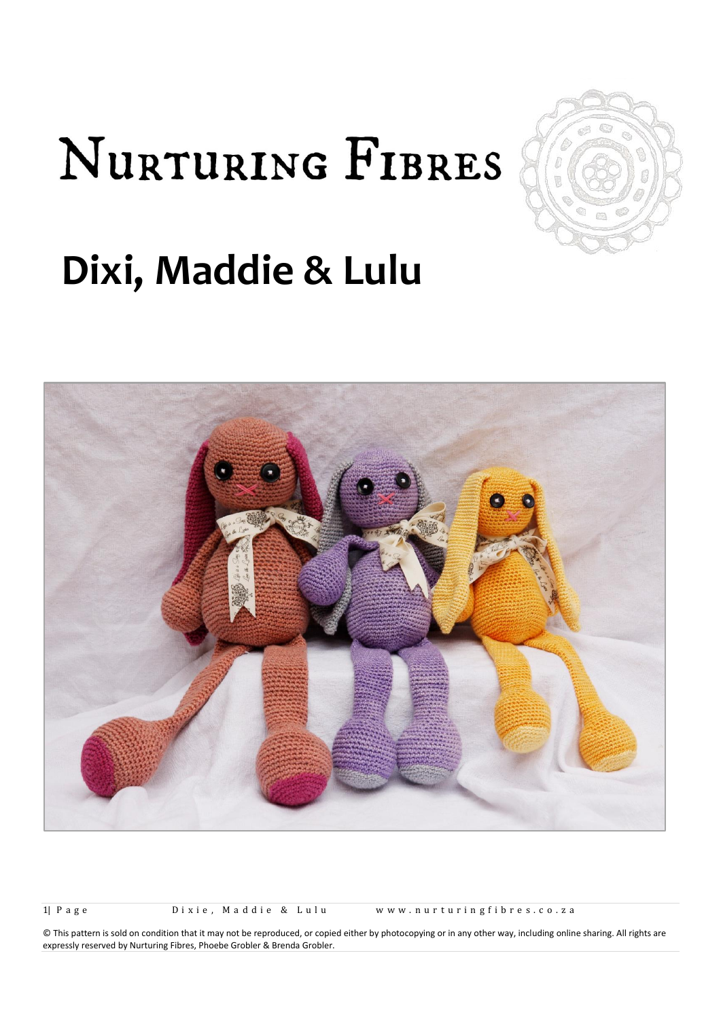# NURTURING FIBRES



## **Dixi, Maddie & Lulu**



1| Page Dixie, Maddie & Lulu www.nurturingfibres.co.za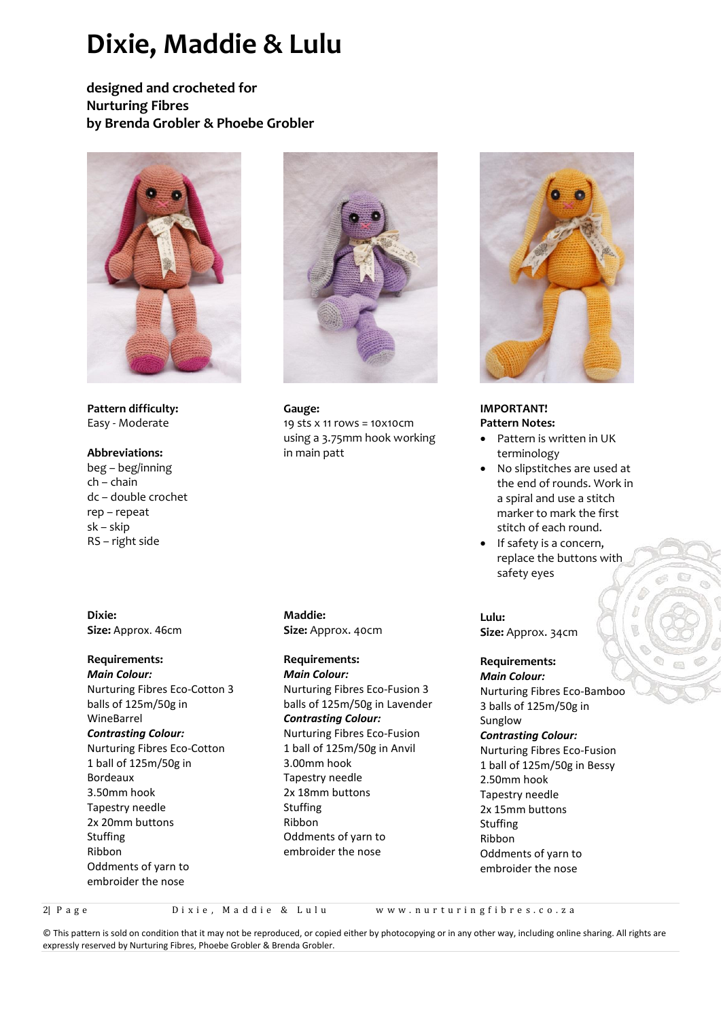### **Dixie, Maddie & Lulu**

**designed and crocheted for Nurturing Fibres by Brenda Grobler & Phoebe Grobler**



**Pattern difficulty:** Easy - Moderate

#### **Abbreviations:**

beg – beg/inning ch – chain dc – double crochet rep – repeat sk – skip RS – right side

**Dixie: Size:** Approx. 46cm

#### **Requirements:**

*Main Colour:* Nurturing Fibres Eco-Cotton 3 balls of 125m/50g in WineBarrel *Contrasting Colour:*

Nurturing Fibres Eco-Cotton 1 ball of 125m/50g in Bordeaux 3.50mm hook Tapestry needle 2x 20mm buttons Stuffing Ribbon Oddments of yarn to embroider the nose



**Gauge:**  19 sts x 11 rows = 10x10cm using a 3.75mm hook working in main patt

**Maddie: Size:** Approx. 40cm

#### **Requirements:**

*Main Colour:* Nurturing Fibres Eco-Fusion 3 balls of 125m/50g in Lavender *Contrasting Colour:* Nurturing Fibres Eco-Fusion 1 ball of 125m/50g in Anvil 3.00mm hook Tapestry needle 2x 18mm buttons Stuffing Ribbon Oddments of yarn to embroider the nose



**IMPORTANT! Pattern Notes:**

- Pattern is written in UK terminology
- No slipstitches are used at the end of rounds. Work in a spiral and use a stitch marker to mark the first stitch of each round.
- If safety is a concern, replace the buttons with safety eyes

**Lulu: Size:** Approx. 34cm

#### **Requirements:**

*Main Colour:* Nurturing Fibres Eco-Bamboo 3 balls of 125m/50g in Sunglow *Contrasting Colour:* Nurturing Fibres Eco-Fusion 1 ball of 125m/50g in Bessy 2.50mm hook Tapestry needle 2x 15mm buttons Stuffing Ribbon Oddments of yarn to embroider the nose

2| P a g e D i x i e , M a d d i e & L u l u w w w . n u r t u r i n g f i b r e s . c o . z a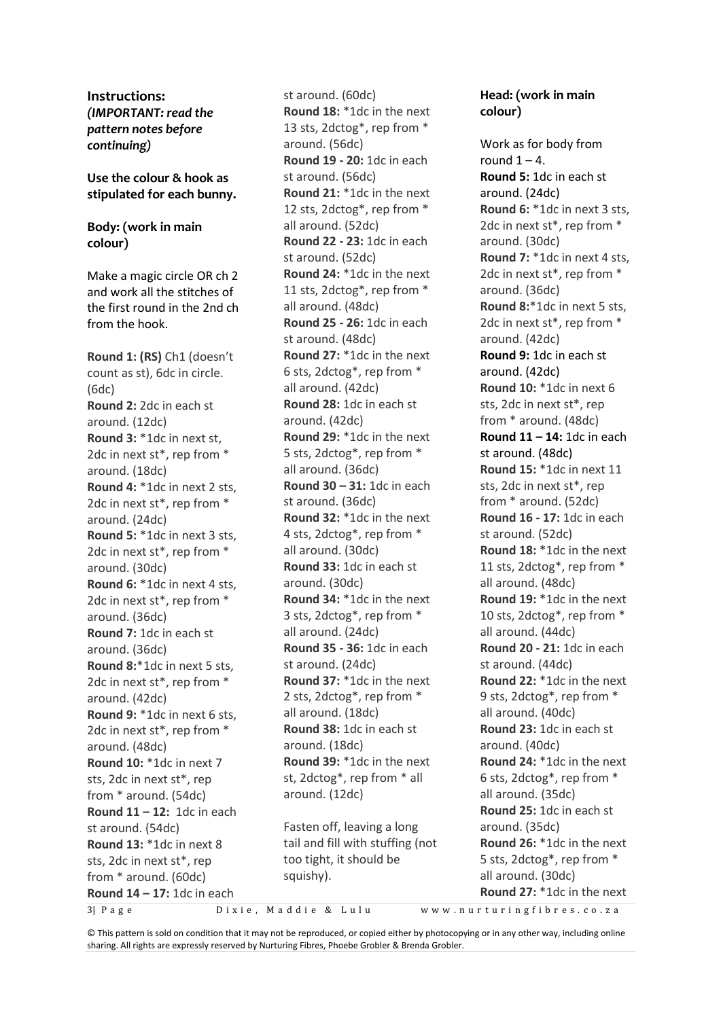**Instructions:** *(IMPORTANT: read the pattern notes before continuing)*

#### **Use the colour & hook as stipulated for each bunny.**

#### **Body: (work in main colour)**

Make a magic circle OR ch 2 and work all the stitches of the first round in the 2nd ch from the hook.

**Round 1: (RS)** Ch1 (doesn't count as st), 6dc in circle. (6dc) **Round 2:** 2dc in each st around. (12dc) **Round 3:** \*1dc in next st, 2dc in next st\*, rep from \* around. (18dc) **Round 4:** \*1dc in next 2 sts, 2dc in next st\*, rep from \* around. (24dc) **Round 5:** \*1dc in next 3 sts, 2dc in next st\*, rep from \* around. (30dc) **Round 6:** \*1dc in next 4 sts, 2dc in next st\*, rep from \* around. (36dc) **Round 7:** 1dc in each st around. (36dc) **Round 8:**\*1dc in next 5 sts, 2dc in next st\*, rep from \* around. (42dc) **Round 9:** \*1dc in next 6 sts, 2dc in next st\*, rep from \* around. (48dc) **Round 10:** \*1dc in next 7 sts, 2dc in next st\*, rep from \* around. (54dc) **Round 11 – 12:** 1dc in each st around. (54dc) **Round 13:** \*1dc in next 8 sts, 2dc in next st\*, rep from \* around. (60dc) **Round 14 – 17:** 1dc in each

st around. (60dc) **Round 18:** \*1dc in the next 13 sts, 2dctog\*, rep from \* around. (56dc) **Round 19 - 20:** 1dc in each st around. (56dc) **Round 21:** \*1dc in the next 12 sts, 2dctog\*, rep from \* all around. (52dc) **Round 22 - 23:** 1dc in each st around. (52dc) **Round 24:** \*1dc in the next 11 sts, 2dctog\*, rep from \* all around. (48dc) **Round 25 - 26:** 1dc in each st around. (48dc) **Round 27:** \*1dc in the next 6 sts, 2dctog\*, rep from \* all around. (42dc) **Round 28:** 1dc in each st around. (42dc) **Round 29:** \*1dc in the next 5 sts, 2dctog\*, rep from \* all around. (36dc) **Round 30 – 31:** 1dc in each st around. (36dc) **Round 32:** \*1dc in the next 4 sts, 2dctog\*, rep from \* all around. (30dc) **Round 33:** 1dc in each st around. (30dc) **Round 34:** \*1dc in the next 3 sts, 2dctog\*, rep from \* all around. (24dc) **Round 35 - 36:** 1dc in each st around. (24dc) **Round 37:** \*1dc in the next 2 sts, 2dctog\*, rep from \* all around. (18dc) **Round 38:** 1dc in each st around. (18dc) **Round 39:** \*1dc in the next st, 2dctog\*, rep from \* all around. (12dc)

Fasten off, leaving a long tail and fill with stuffing (not too tight, it should be squishy).

#### **Head: (work in main colour)**

Work as for body from round  $1 - 4$ . **Round 5:** 1dc in each st around. (24dc) **Round 6:** \*1dc in next 3 sts, 2dc in next st\*, rep from \* around. (30dc) **Round 7:** \*1dc in next 4 sts, 2dc in next st\*, rep from \* around. (36dc) **Round 8:**\*1dc in next 5 sts, 2dc in next st\*, rep from \* around. (42dc) **Round 9:** 1dc in each st around. (42dc) **Round 10:** \*1dc in next 6 sts, 2dc in next st\*, rep from \* around. (48dc) **Round 11 – 14:** 1dc in each st around. (48dc) **Round 15:** \*1dc in next 11 sts, 2dc in next st\*, rep from \* around. (52dc) **Round 16 - 17:** 1dc in each st around. (52dc) **Round 18:** \*1dc in the next 11 sts, 2dctog\*, rep from \* all around. (48dc) **Round 19:** \*1dc in the next 10 sts, 2dctog\*, rep from \* all around. (44dc) **Round 20 - 21:** 1dc in each st around. (44dc) **Round 22:** \*1dc in the next 9 sts, 2dctog\*, rep from \* all around. (40dc) **Round 23:** 1dc in each st around. (40dc) **Round 24:** \*1dc in the next 6 sts, 2dctog\*, rep from \* all around. (35dc) **Round 25:** 1dc in each st around. (35dc) **Round 26:** \*1dc in the next 5 sts, 2dctog\*, rep from \* all around. (30dc) **Round 27:** \*1dc in the next

3| P a g e D i x i e , M a d d i e & L u l u w w w . n u r t u r i n g f i b r e s . c o . z a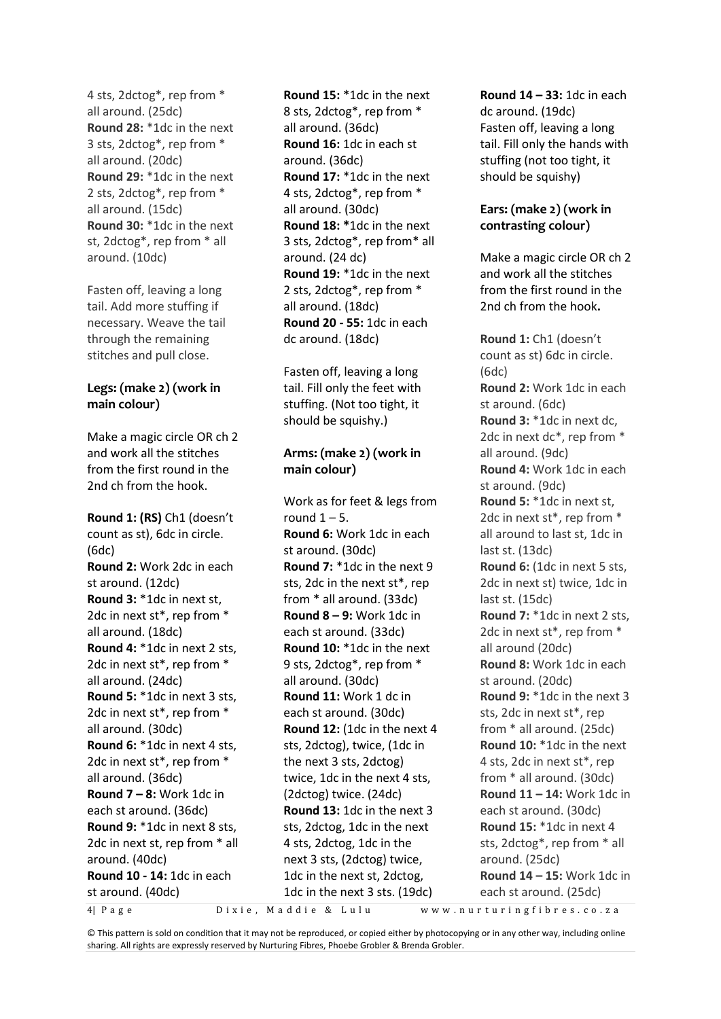4 sts, 2dctog\*, rep from \* all around. (25dc) **Round 28:** \*1dc in the next 3 sts, 2dctog\*, rep from \* all around. (20dc) **Round 29:** \*1dc in the next 2 sts, 2dctog\*, rep from \* all around. (15dc) **Round 30:** \*1dc in the next st, 2dctog\*, rep from \* all around. (10dc)

Fasten off, leaving a long tail. Add more stuffing if necessary. Weave the tail through the remaining stitches and pull close.

#### **Legs: (make 2) (work in main colour)**

Make a magic circle OR ch 2 and work all the stitches from the first round in the 2nd ch from the hook.

**Round 1: (RS)** Ch1 (doesn't count as st), 6dc in circle. (6dc) **Round 2:** Work 2dc in each st around. (12dc) **Round 3:** \*1dc in next st, 2dc in next st\*, rep from \* all around. (18dc) **Round 4:** \*1dc in next 2 sts, 2dc in next st\*, rep from \* all around. (24dc) **Round 5:** \*1dc in next 3 sts, 2dc in next st\*, rep from \* all around. (30dc) **Round 6:** \*1dc in next 4 sts, 2dc in next st\*, rep from \* all around. (36dc) **Round 7 – 8:** Work 1dc in each st around. (36dc) **Round 9:** \*1dc in next 8 sts, 2dc in next st, rep from \* all around. (40dc) **Round 10 - 14:** 1dc in each st around. (40dc)

**Round 15:** \*1dc in the next 8 sts, 2dctog\*, rep from \* all around. (36dc) **Round 16:** 1dc in each st around. (36dc) **Round 17:** \*1dc in the next 4 sts, 2dctog\*, rep from \* all around. (30dc) **Round 18: \***1dc in the next 3 sts, 2dctog\*, rep from\* all around. (24 dc) **Round 19:** \*1dc in the next 2 sts, 2dctog\*, rep from \* all around. (18dc) **Round 20 - 55:** 1dc in each dc around. (18dc)

Fasten off, leaving a long tail. Fill only the feet with stuffing. (Not too tight, it should be squishy.)

#### **Arms: (make 2) (work in main colour)**

Work as for feet & legs from round  $1 - 5$ . **Round 6:** Work 1dc in each st around. (30dc) **Round 7:** \*1dc in the next 9 sts, 2dc in the next st\*, rep from \* all around. (33dc) **Round 8 – 9:** Work 1dc in each st around. (33dc) **Round 10:** \*1dc in the next 9 sts, 2dctog\*, rep from \* all around. (30dc) **Round 11:** Work 1 dc in each st around. (30dc) **Round 12:** (1dc in the next 4 sts, 2dctog), twice, (1dc in the next 3 sts, 2dctog) twice, 1dc in the next 4 sts, (2dctog) twice. (24dc) **Round 13:** 1dc in the next 3 sts, 2dctog, 1dc in the next 4 sts, 2dctog, 1dc in the next 3 sts, (2dctog) twice, 1dc in the next st, 2dctog, 1dc in the next 3 sts. (19dc)

**Round 14 – 33:** 1dc in each dc around. (19dc) Fasten off, leaving a long tail. Fill only the hands with stuffing (not too tight, it should be squishy)

#### **Ears: (make 2) (work in contrasting colour)**

Make a magic circle OR ch 2 and work all the stitches from the first round in the 2nd ch from the hook**.**

**Round 1:** Ch1 (doesn't count as st) 6dc in circle. (6dc) **Round 2:** Work 1dc in each st around. (6dc) **Round 3:** \*1dc in next dc, 2dc in next dc\*, rep from \* all around. (9dc) **Round 4:** Work 1dc in each st around. (9dc) **Round 5:** \*1dc in next st, 2dc in next st\*, rep from \* all around to last st, 1dc in last st. (13dc) **Round 6:** (1dc in next 5 sts, 2dc in next st) twice, 1dc in last st. (15dc) **Round 7:** \*1dc in next 2 sts, 2dc in next st\*, rep from \* all around (20dc) **Round 8:** Work 1dc in each st around. (20dc) **Round 9:** \*1dc in the next 3 sts, 2dc in next st\*, rep from \* all around. (25dc) **Round 10:** \*1dc in the next 4 sts, 2dc in next st\*, rep from \* all around. (30dc) **Round 11 – 14:** Work 1dc in each st around. (30dc) **Round 15:** \*1dc in next 4 sts, 2dctog\*, rep from \* all around. (25dc) **Round 14 – 15:** Work 1dc in each st around. (25dc)

4| P a g e D i x i e , M a d d i e & L u l u w w w . n u r t u r i n g f i b r e s . c o . z a